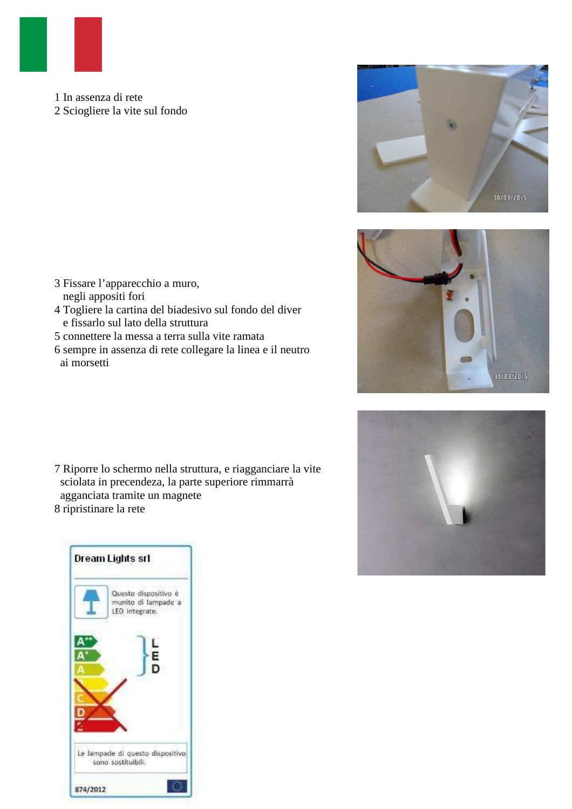

1 In assenza di rete 2 Sciogliere la vite sul fondo







- 3 Fissare l'apparecchio a muro, negli appositi fori
- 4 Togliere la cartina del biadesivo sul fondo del diver e fissarlo sul lato della struttura
- 5 connettere la messa a terra sulla vite ramata
- 6 sempre in assenza di rete collegare la linea e il neutro ai morsetti

7 Riporre lo schermo nella struttura, e riagganciare la vite sciolata in precendeza, la parte superiore rimmarrà agganciata tramite un magnete 8 ripristinare la rete

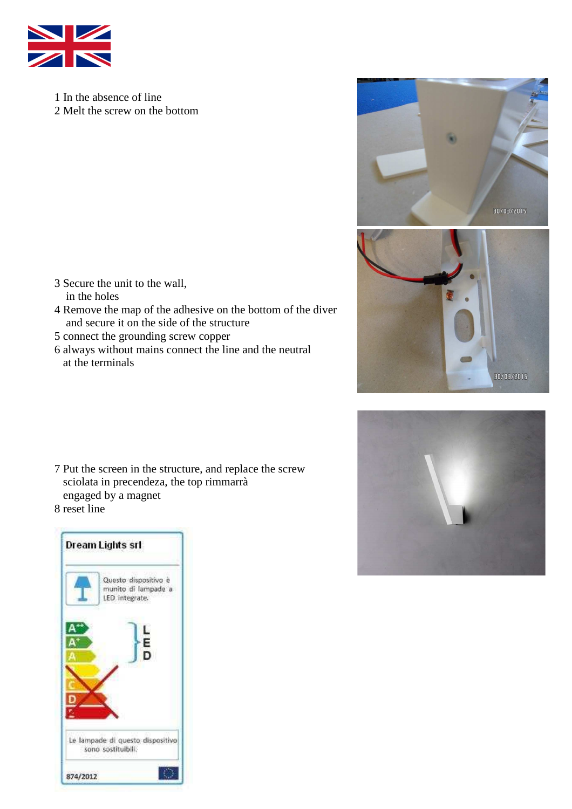

1 In the absence of line 2 Melt the screw on the bottom

- 3 Secure the unit to the wall, in the holes
- 4 Remove the map of the adhesive on the bottom of the diver and secure it on the side of the structure
- 5 connect the grounding screw copper
- 6 always without mains connect the line and the neutral at the terminals





30/03/2015

7 Put the screen in the structure, and replace the screw sciolata in precendeza, the top rimmarrà engaged by a magnet 8 reset line

| Questo dispositivo è<br>munito di lampade a<br>LED integrate. |
|---------------------------------------------------------------|
| L<br>E                                                        |
| Ď                                                             |
|                                                               |
|                                                               |
| Le lampade di questo dispositivo<br>sono sostituibili.        |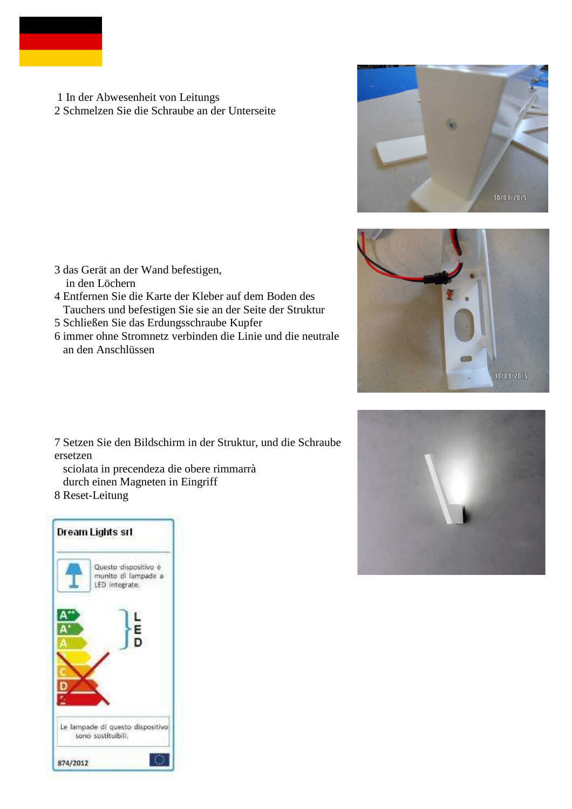

 1 In der Abwesenheit von Leitungs 2 Schmelzen Sie die Schraube an der Unterseite







- 3 das Gerät an der Wand befestigen, in den Löchern
- 4 Entfernen Sie die Karte der Kleber auf dem Boden des Tauchers und befestigen Sie sie an der Seite der Struktur
- 5 Schließen Sie das Erdungsschraube Kupfer
- 6 immer ohne Stromnetz verbinden die Linie und die neutrale an den Anschlüssen

7 Setzen Sie den Bildschirm in der Struktur, und die Schraube ersetzen

 sciolata in precendeza die obere rimmarrà durch einen Magneten in Eingriff

8 Reset-Leitung